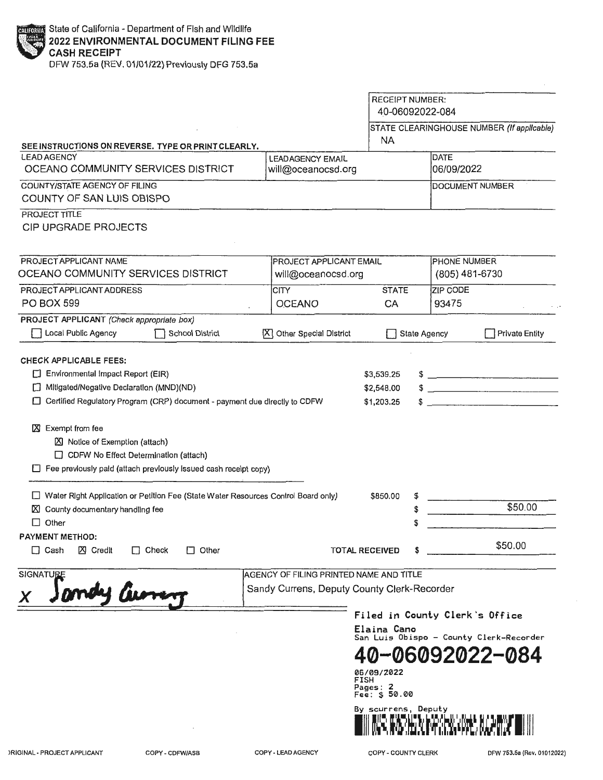DFW 753.5a (REV. 01/01/22) Previously DFG 753.5a

|                                                                                                                                                                                                                                     |                                                                                        |                                                                                       | <b>RECEIPT NUMBER:</b><br>40-06092022-084 |                                                            |
|-------------------------------------------------------------------------------------------------------------------------------------------------------------------------------------------------------------------------------------|----------------------------------------------------------------------------------------|---------------------------------------------------------------------------------------|-------------------------------------------|------------------------------------------------------------|
| SEE INSTRUCTIONS ON REVERSE, TYPE OR PRINT CLEARLY,                                                                                                                                                                                 |                                                                                        | NA.                                                                                   |                                           | STATE CLEARINGHOUSE NUMBER (If applicable)                 |
| <b>LEAD AGENCY</b><br>OCEANO COMMUNITY SERVICES DISTRICT                                                                                                                                                                            | <b>LEADAGENCY EMAIL</b><br>will@oceanocsd.org                                          |                                                                                       | <b>DATE</b><br>06/09/2022                 |                                                            |
| COUNTY/STATE AGENCY OF FILING<br>COUNTY OF SAN LUIS OBISPO                                                                                                                                                                          |                                                                                        |                                                                                       |                                           | <b>DOCUMENT NUMBER</b>                                     |
| PROJECT TITLE<br><b>CIP UPGRADE PROJECTS</b>                                                                                                                                                                                        |                                                                                        |                                                                                       |                                           |                                                            |
| PROJECT APPLICANT NAME<br>OCEANO COMMUNITY SERVICES DISTRICT                                                                                                                                                                        | PROJECT APPLICANT EMAIL<br>will@oceanocsd.org                                          |                                                                                       | <b>PHONE NUMBER</b>                       | (805) 481-6730                                             |
| PROJECT APPLICANT ADDRESS<br><b>PO BOX 599</b>                                                                                                                                                                                      | <b>CITY</b><br><b>OCEANO</b>                                                           | <b>STATE</b><br>CA                                                                    | ZIP CODE<br>93475                         |                                                            |
| PROJECT APPLICANT (Check appropriate box)<br>Local Public Agency<br><b>School District</b>                                                                                                                                          | X Other Special District                                                               |                                                                                       | <b>State Agency</b>                       | <b>Private Entity</b>                                      |
| 区 Notice of Exemption (attach)<br>CDFW No Effect Determination (attach)<br>Fee previously paid (attach previously issued cash receipt copy)<br>□ Water Right Application or Petition Fee (State Water Resources Control Board only) |                                                                                        | \$850.00                                                                              | \$                                        | \$50.00                                                    |
| County documentary handling fee<br>ΙXΙ<br>$\Box$<br>Other                                                                                                                                                                           |                                                                                        |                                                                                       | \$<br>S                                   |                                                            |
| PAYMENT METHOD:<br>$\Box$ Cash<br><b>区</b> Credit<br>$\Box$ Other<br>$\Box$ Check                                                                                                                                                   |                                                                                        |                                                                                       |                                           |                                                            |
|                                                                                                                                                                                                                                     |                                                                                        | <b>TOTAL RECEIVED</b>                                                                 |                                           | \$50.00                                                    |
| <b>SIGNATURE</b><br>1 Avre                                                                                                                                                                                                          | AGENCY OF FILING PRINTED NAME AND TITLE<br>Sandy Currens, Deputy County Clerk-Recorder | Elaina Cano<br>06/09/2022<br>FISH<br>Pages: 2<br>Fee: \$ 50.00<br>By scurrens, Deputy | Filed in County Clerk's Office            | San Luis Obispo - County Clerk-Recorder<br>40-06092022-084 |